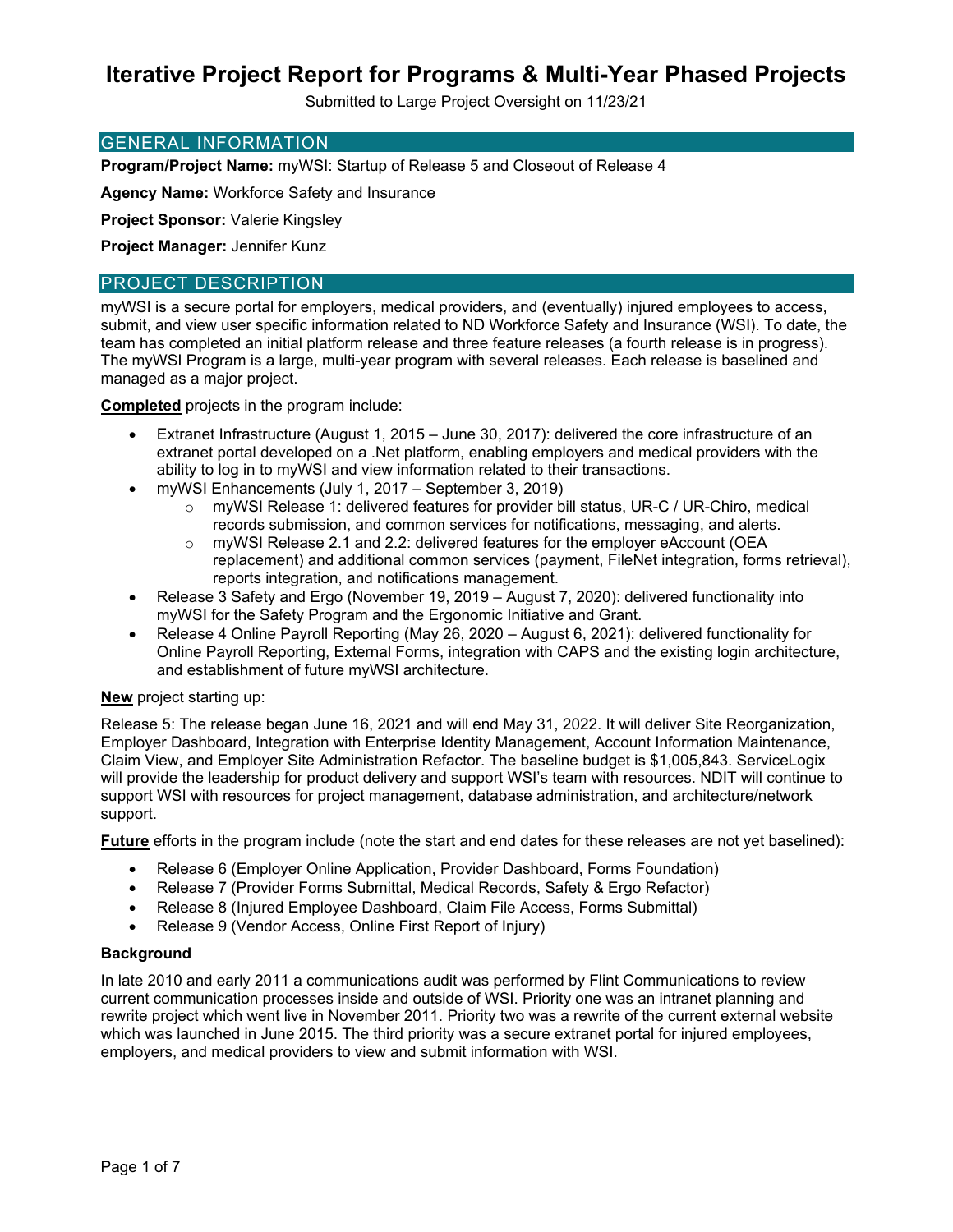Submitted to Large Project Oversight on 11/23/21

### GENERAL INFORMATION

**Program/Project Name:** myWSI: Startup of Release 5 and Closeout of Release 4

**Agency Name:** Workforce Safety and Insurance

**Project Sponsor:** Valerie Kingsley

**Project Manager:** Jennifer Kunz

## PROJECT DESCRIPTION

myWSI is a secure portal for employers, medical providers, and (eventually) injured employees to access, submit, and view user specific information related to ND Workforce Safety and Insurance (WSI). To date, the team has completed an initial platform release and three feature releases (a fourth release is in progress). The myWSI Program is a large, multi-year program with several releases. Each release is baselined and managed as a major project.

**Completed** projects in the program include:

- Extranet Infrastructure (August 1, 2015 June 30, 2017): delivered the core infrastructure of an extranet portal developed on a .Net platform, enabling employers and medical providers with the ability to log in to myWSI and view information related to their transactions.
- myWSI Enhancements (July 1, 2017 September 3, 2019)
	- o myWSI Release 1: delivered features for provider bill status, UR-C / UR-Chiro, medical records submission, and common services for notifications, messaging, and alerts.
	- o myWSI Release 2.1 and 2.2: delivered features for the employer eAccount (OEA replacement) and additional common services (payment, FileNet integration, forms retrieval), reports integration, and notifications management.
- Release 3 Safety and Ergo (November 19, 2019 August 7, 2020): delivered functionality into myWSI for the Safety Program and the Ergonomic Initiative and Grant.
- Release 4 Online Payroll Reporting (May 26, 2020 August 6, 2021): delivered functionality for Online Payroll Reporting, External Forms, integration with CAPS and the existing login architecture, and establishment of future myWSI architecture.

## **New** project starting up:

Release 5: The release began June 16, 2021 and will end May 31, 2022. It will deliver Site Reorganization, Employer Dashboard, Integration with Enterprise Identity Management, Account Information Maintenance, Claim View, and Employer Site Administration Refactor. The baseline budget is \$1,005,843. ServiceLogix will provide the leadership for product delivery and support WSI's team with resources. NDIT will continue to support WSI with resources for project management, database administration, and architecture/network support.

**Future** efforts in the program include (note the start and end dates for these releases are not yet baselined):

- Release 6 (Employer Online Application, Provider Dashboard, Forms Foundation)
- Release 7 (Provider Forms Submittal, Medical Records, Safety & Ergo Refactor)
- Release 8 (Injured Employee Dashboard, Claim File Access, Forms Submittal)
- Release 9 (Vendor Access, Online First Report of Injury)

#### **Background**

In late 2010 and early 2011 a communications audit was performed by Flint Communications to review current communication processes inside and outside of WSI. Priority one was an intranet planning and rewrite project which went live in November 2011. Priority two was a rewrite of the current external website which was launched in June 2015. The third priority was a secure extranet portal for injured employees, employers, and medical providers to view and submit information with WSI.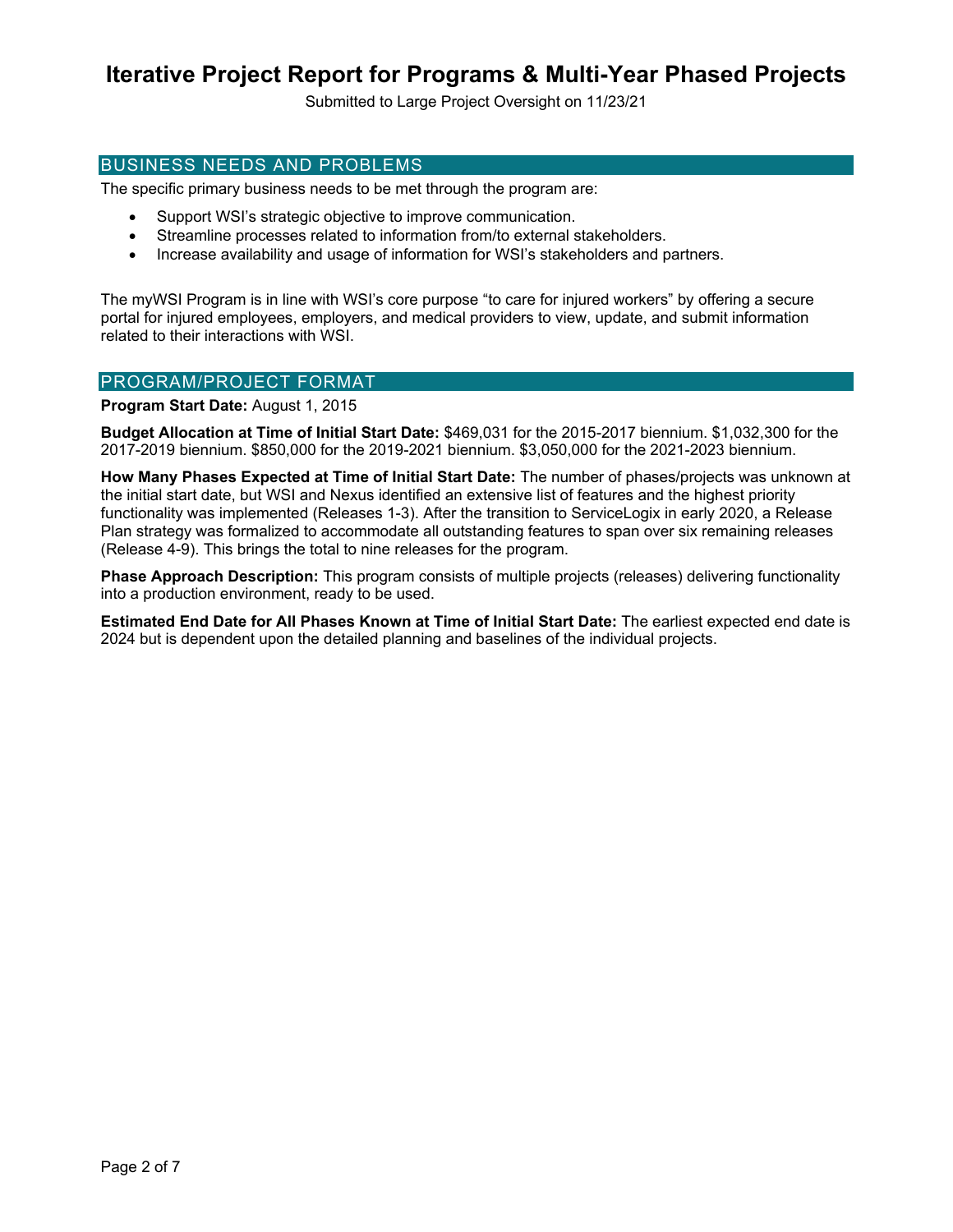Submitted to Large Project Oversight on 11/23/21

### BUSINESS NEEDS AND PROBLEMS

The specific primary business needs to be met through the program are:

- Support WSI's strategic objective to improve communication.
- Streamline processes related to information from/to external stakeholders.
- Increase availability and usage of information for WSI's stakeholders and partners.

The myWSI Program is in line with WSI's core purpose "to care for injured workers" by offering a secure portal for injured employees, employers, and medical providers to view, update, and submit information related to their interactions with WSI.

### PROGRAM/PROJECT FORMAT

**Program Start Date:** August 1, 2015

**Budget Allocation at Time of Initial Start Date:** \$469,031 for the 2015-2017 biennium. \$1,032,300 for the 2017-2019 biennium. \$850,000 for the 2019-2021 biennium. \$3,050,000 for the 2021-2023 biennium.

**How Many Phases Expected at Time of Initial Start Date:** The number of phases/projects was unknown at the initial start date, but WSI and Nexus identified an extensive list of features and the highest priority functionality was implemented (Releases 1-3). After the transition to ServiceLogix in early 2020, a Release Plan strategy was formalized to accommodate all outstanding features to span over six remaining releases (Release 4-9). This brings the total to nine releases for the program.

**Phase Approach Description:** This program consists of multiple projects (releases) delivering functionality into a production environment, ready to be used.

**Estimated End Date for All Phases Known at Time of Initial Start Date:** The earliest expected end date is 2024 but is dependent upon the detailed planning and baselines of the individual projects.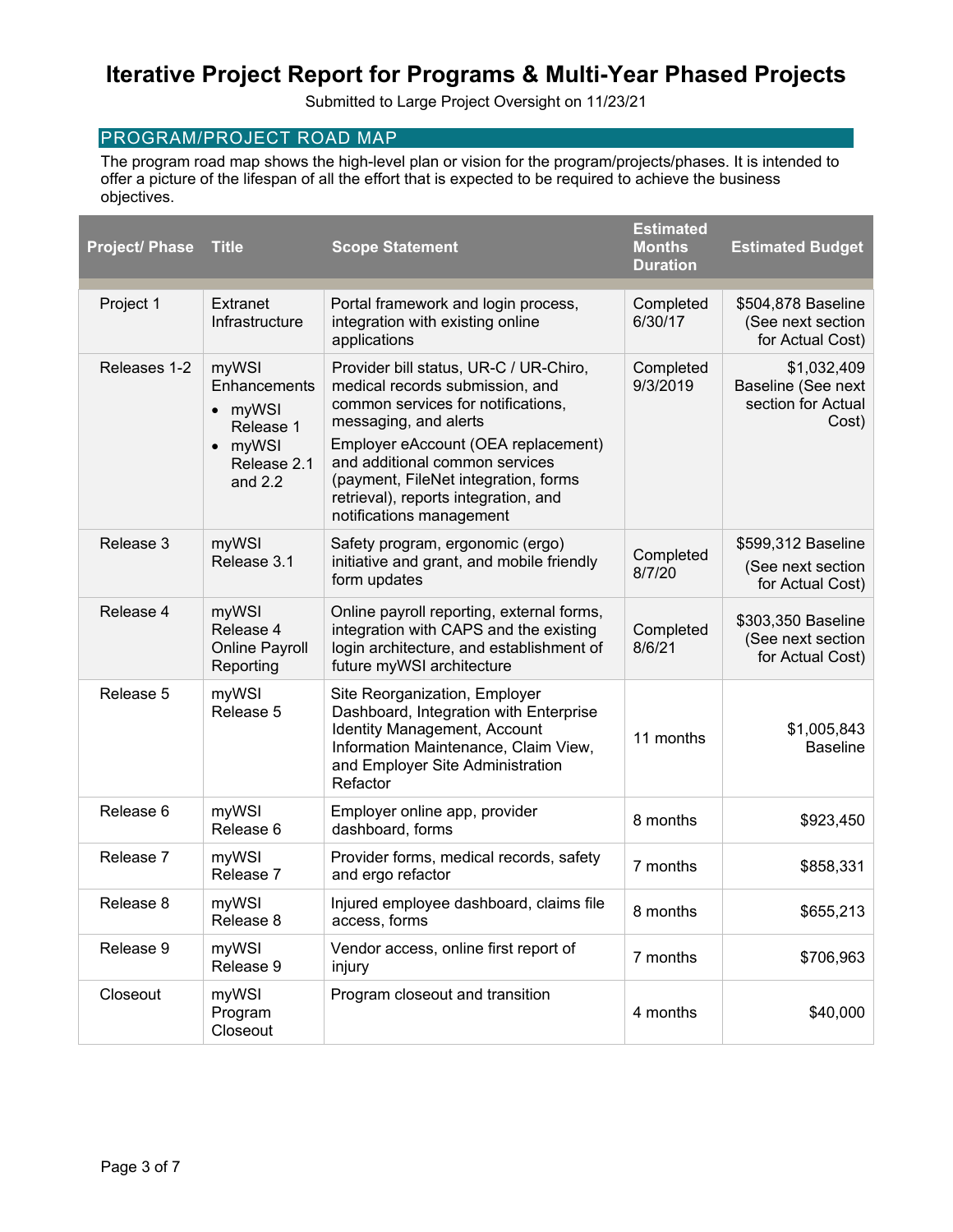Submitted to Large Project Oversight on 11/23/21

## PROGRAM/PROJECT ROAD MAP

The program road map shows the high-level plan or vision for the program/projects/phases. It is intended to offer a picture of the lifespan of all the effort that is expected to be required to achieve the business objectives.

| <b>Project/ Phase</b> | <b>Title</b>                                                                         | <b>Scope Statement</b>                                                                                                                                                                                                                                                                                                        | <b>Estimated</b><br><b>Months</b><br><b>Duration</b> | <b>Estimated Budget</b>                                          |
|-----------------------|--------------------------------------------------------------------------------------|-------------------------------------------------------------------------------------------------------------------------------------------------------------------------------------------------------------------------------------------------------------------------------------------------------------------------------|------------------------------------------------------|------------------------------------------------------------------|
| Project 1             | Extranet<br>Infrastructure                                                           | Portal framework and login process,<br>integration with existing online<br>applications                                                                                                                                                                                                                                       | Completed<br>6/30/17                                 | \$504,878 Baseline<br>(See next section<br>for Actual Cost)      |
| Releases 1-2          | myWSI<br>Enhancements<br>• myWSI<br>Release 1<br>• myWSI<br>Release 2.1<br>and $2.2$ | Provider bill status, UR-C / UR-Chiro,<br>medical records submission, and<br>common services for notifications,<br>messaging, and alerts<br>Employer eAccount (OEA replacement)<br>and additional common services<br>(payment, FileNet integration, forms<br>retrieval), reports integration, and<br>notifications management | Completed<br>9/3/2019                                | \$1,032,409<br>Baseline (See next<br>section for Actual<br>Cost) |
| Release 3             | myWSI<br>Release 3.1                                                                 | Safety program, ergonomic (ergo)<br>initiative and grant, and mobile friendly<br>form updates                                                                                                                                                                                                                                 | Completed<br>8/7/20                                  | \$599,312 Baseline<br>(See next section<br>for Actual Cost)      |
| Release 4             | myWSI<br>Release 4<br><b>Online Payroll</b><br>Reporting                             | Online payroll reporting, external forms,<br>integration with CAPS and the existing<br>login architecture, and establishment of<br>future myWSI architecture                                                                                                                                                                  | Completed<br>8/6/21                                  | \$303,350 Baseline<br>(See next section<br>for Actual Cost)      |
| Release 5             | myWSI<br>Release 5                                                                   | Site Reorganization, Employer<br>Dashboard, Integration with Enterprise<br>Identity Management, Account<br>Information Maintenance, Claim View,<br>and Employer Site Administration<br>Refactor                                                                                                                               | 11 months                                            | \$1,005,843<br><b>Baseline</b>                                   |
| Release 6             | myWSI<br>Release 6                                                                   | Employer online app, provider<br>dashboard, forms                                                                                                                                                                                                                                                                             | 8 months                                             | \$923,450                                                        |
| Release 7             | myWSI<br>Release 7                                                                   | Provider forms, medical records, safety<br>and ergo refactor                                                                                                                                                                                                                                                                  | 7 months                                             | \$858,331                                                        |
| Release 8             | myWSI<br>Release 8                                                                   | Injured employee dashboard, claims file<br>access, forms                                                                                                                                                                                                                                                                      | 8 months                                             | \$655,213                                                        |
| Release 9             | myWSI<br>Release 9                                                                   | Vendor access, online first report of<br>injury                                                                                                                                                                                                                                                                               | 7 months                                             | \$706,963                                                        |
| Closeout              | myWSI<br>Program<br>Closeout                                                         | Program closeout and transition                                                                                                                                                                                                                                                                                               | 4 months                                             | \$40,000                                                         |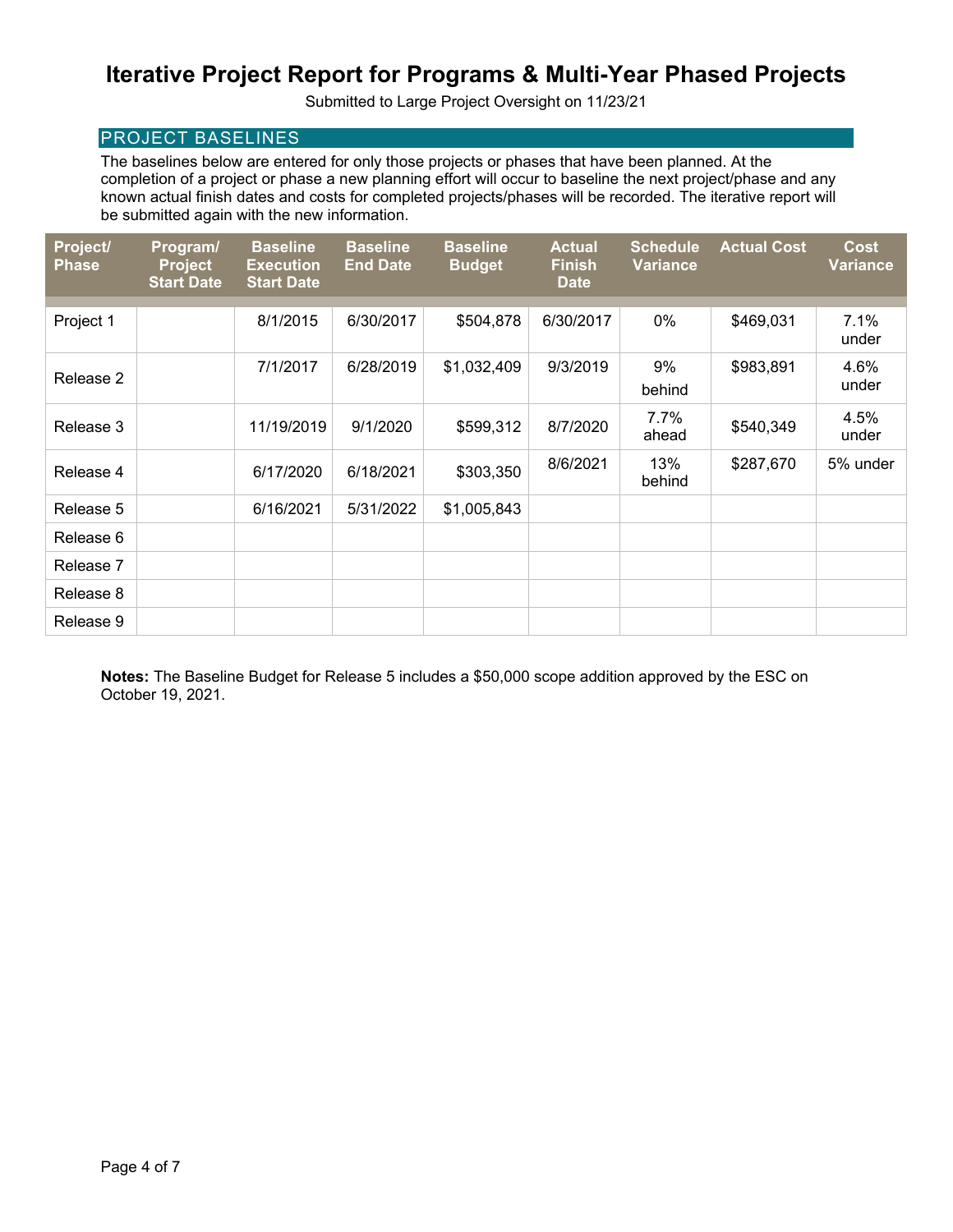Submitted to Large Project Oversight on 11/23/21

## PROJECT BASELINES

The baselines below are entered for only those projects or phases that have been planned. At the completion of a project or phase a new planning effort will occur to baseline the next project/phase and any known actual finish dates and costs for completed projects/phases will be recorded. The iterative report will be submitted again with the new information.

| Project/<br><b>Phase</b> | Program/<br><b>Project</b><br><b>Start Date</b> | <b>Baseline</b><br><b>Execution</b><br><b>Start Date</b> | <b>Baseline</b><br><b>End Date</b> | <b>Baseline</b><br><b>Budget</b> | <b>Actual</b><br><b>Finish</b><br><b>Date</b> | <b>Schedule</b><br><b>Variance</b> | <b>Actual Cost</b> | <b>Cost</b><br><b>Variance</b> |
|--------------------------|-------------------------------------------------|----------------------------------------------------------|------------------------------------|----------------------------------|-----------------------------------------------|------------------------------------|--------------------|--------------------------------|
|                          |                                                 |                                                          |                                    |                                  |                                               |                                    |                    |                                |
| Project 1                |                                                 | 8/1/2015                                                 | 6/30/2017                          | \$504,878                        | 6/30/2017                                     | 0%                                 | \$469,031          | 7.1%<br>under                  |
|                          |                                                 | 7/1/2017                                                 | 6/28/2019                          | \$1,032,409                      | 9/3/2019                                      | 9%                                 | \$983,891          | 4.6%                           |
| Release 2                |                                                 |                                                          |                                    |                                  |                                               | behind                             |                    | under                          |
| Release 3                |                                                 | 11/19/2019                                               | 9/1/2020                           | \$599,312                        | 8/7/2020                                      | 7.7%                               | \$540,349          | 4.5%                           |
|                          |                                                 |                                                          |                                    |                                  |                                               | ahead                              |                    | under                          |
| Release 4                |                                                 | 6/17/2020                                                | 6/18/2021                          | \$303,350                        | 8/6/2021                                      | 13%<br>behind                      | \$287,670          | 5% under                       |
| Release 5                |                                                 | 6/16/2021                                                | 5/31/2022                          | \$1,005,843                      |                                               |                                    |                    |                                |
| Release 6                |                                                 |                                                          |                                    |                                  |                                               |                                    |                    |                                |
| Release 7                |                                                 |                                                          |                                    |                                  |                                               |                                    |                    |                                |
| Release 8                |                                                 |                                                          |                                    |                                  |                                               |                                    |                    |                                |
| Release 9                |                                                 |                                                          |                                    |                                  |                                               |                                    |                    |                                |

**Notes:** The Baseline Budget for Release 5 includes a \$50,000 scope addition approved by the ESC on October 19, 2021.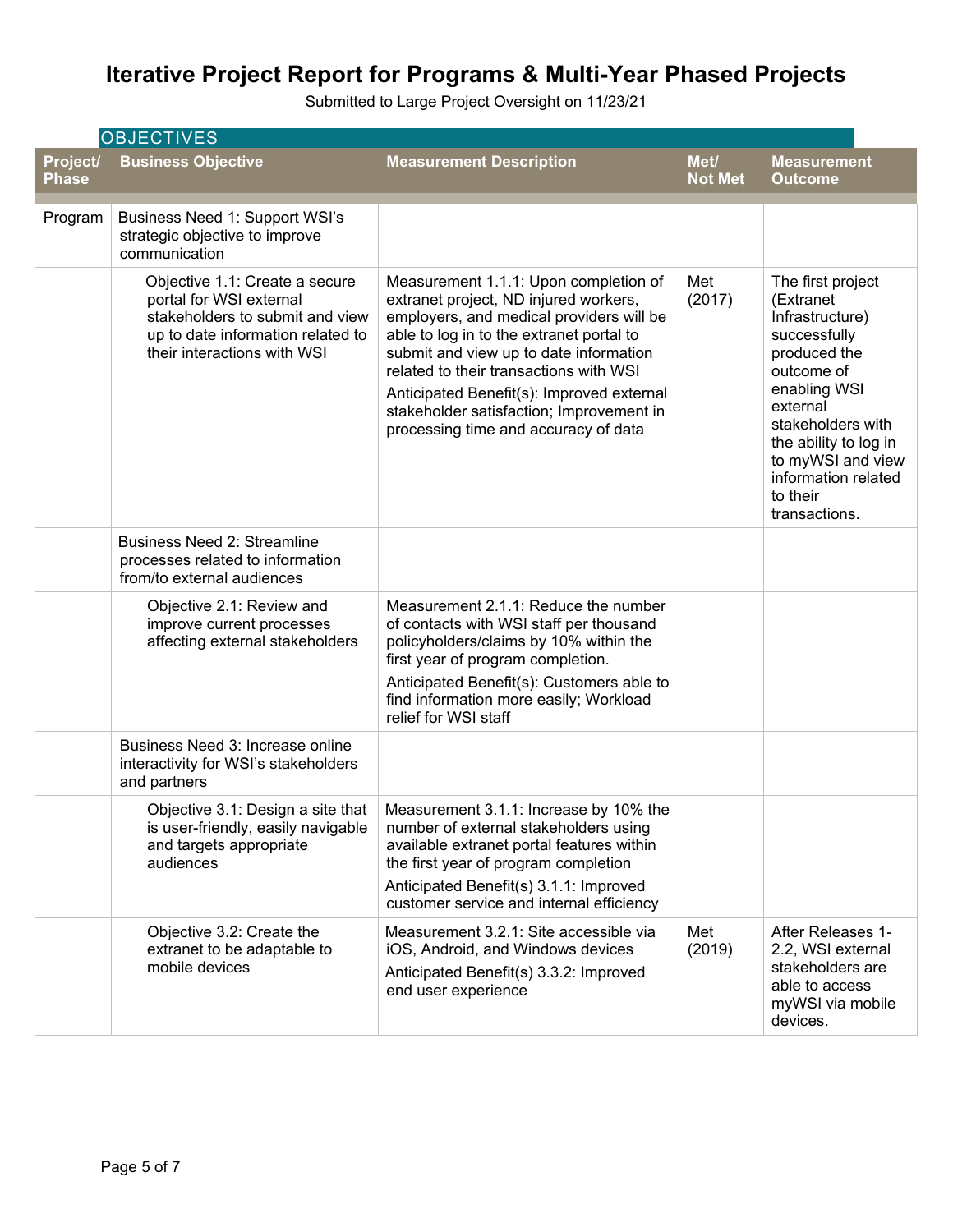Submitted to Large Project Oversight on 11/23/21

| <b>OBJECTIVES</b>        |                                                                                                                                                                  |                                                                                                                                                                                                                                                                                                                                                                                             |                        |                                                                                                                                                                                                                                                    |  |
|--------------------------|------------------------------------------------------------------------------------------------------------------------------------------------------------------|---------------------------------------------------------------------------------------------------------------------------------------------------------------------------------------------------------------------------------------------------------------------------------------------------------------------------------------------------------------------------------------------|------------------------|----------------------------------------------------------------------------------------------------------------------------------------------------------------------------------------------------------------------------------------------------|--|
| Project/<br><b>Phase</b> | <b>Business Objective</b>                                                                                                                                        | <b>Measurement Description</b>                                                                                                                                                                                                                                                                                                                                                              | Met/<br><b>Not Met</b> | <b>Measurement</b><br><b>Outcome</b>                                                                                                                                                                                                               |  |
| Program                  | Business Need 1: Support WSI's<br>strategic objective to improve<br>communication                                                                                |                                                                                                                                                                                                                                                                                                                                                                                             |                        |                                                                                                                                                                                                                                                    |  |
|                          | Objective 1.1: Create a secure<br>portal for WSI external<br>stakeholders to submit and view<br>up to date information related to<br>their interactions with WSI | Measurement 1.1.1: Upon completion of<br>extranet project, ND injured workers,<br>employers, and medical providers will be<br>able to log in to the extranet portal to<br>submit and view up to date information<br>related to their transactions with WSI<br>Anticipated Benefit(s): Improved external<br>stakeholder satisfaction; Improvement in<br>processing time and accuracy of data | Met<br>(2017)          | The first project<br>(Extranet<br>Infrastructure)<br>successfully<br>produced the<br>outcome of<br>enabling WSI<br>external<br>stakeholders with<br>the ability to log in<br>to myWSI and view<br>information related<br>to their<br>transactions. |  |
|                          | <b>Business Need 2: Streamline</b><br>processes related to information<br>from/to external audiences                                                             |                                                                                                                                                                                                                                                                                                                                                                                             |                        |                                                                                                                                                                                                                                                    |  |
|                          | Objective 2.1: Review and<br>improve current processes<br>affecting external stakeholders                                                                        | Measurement 2.1.1: Reduce the number<br>of contacts with WSI staff per thousand<br>policyholders/claims by 10% within the<br>first year of program completion.<br>Anticipated Benefit(s): Customers able to<br>find information more easily; Workload<br>relief for WSI staff                                                                                                               |                        |                                                                                                                                                                                                                                                    |  |
|                          | Business Need 3: Increase online<br>interactivity for WSI's stakeholders<br>and partners                                                                         |                                                                                                                                                                                                                                                                                                                                                                                             |                        |                                                                                                                                                                                                                                                    |  |
|                          | Objective 3.1: Design a site that<br>is user-friendly, easily navigable<br>and targets appropriate<br>audiences                                                  | Measurement 3.1.1: Increase by 10% the<br>number of external stakeholders using<br>available extranet portal features within<br>the first year of program completion<br>Anticipated Benefit(s) 3.1.1: Improved<br>customer service and internal efficiency                                                                                                                                  |                        |                                                                                                                                                                                                                                                    |  |
|                          | Objective 3.2: Create the<br>extranet to be adaptable to<br>mobile devices                                                                                       | Measurement 3.2.1: Site accessible via<br>iOS, Android, and Windows devices<br>Anticipated Benefit(s) 3.3.2: Improved<br>end user experience                                                                                                                                                                                                                                                | Met<br>(2019)          | After Releases 1-<br>2.2, WSI external<br>stakeholders are<br>able to access<br>myWSI via mobile<br>devices.                                                                                                                                       |  |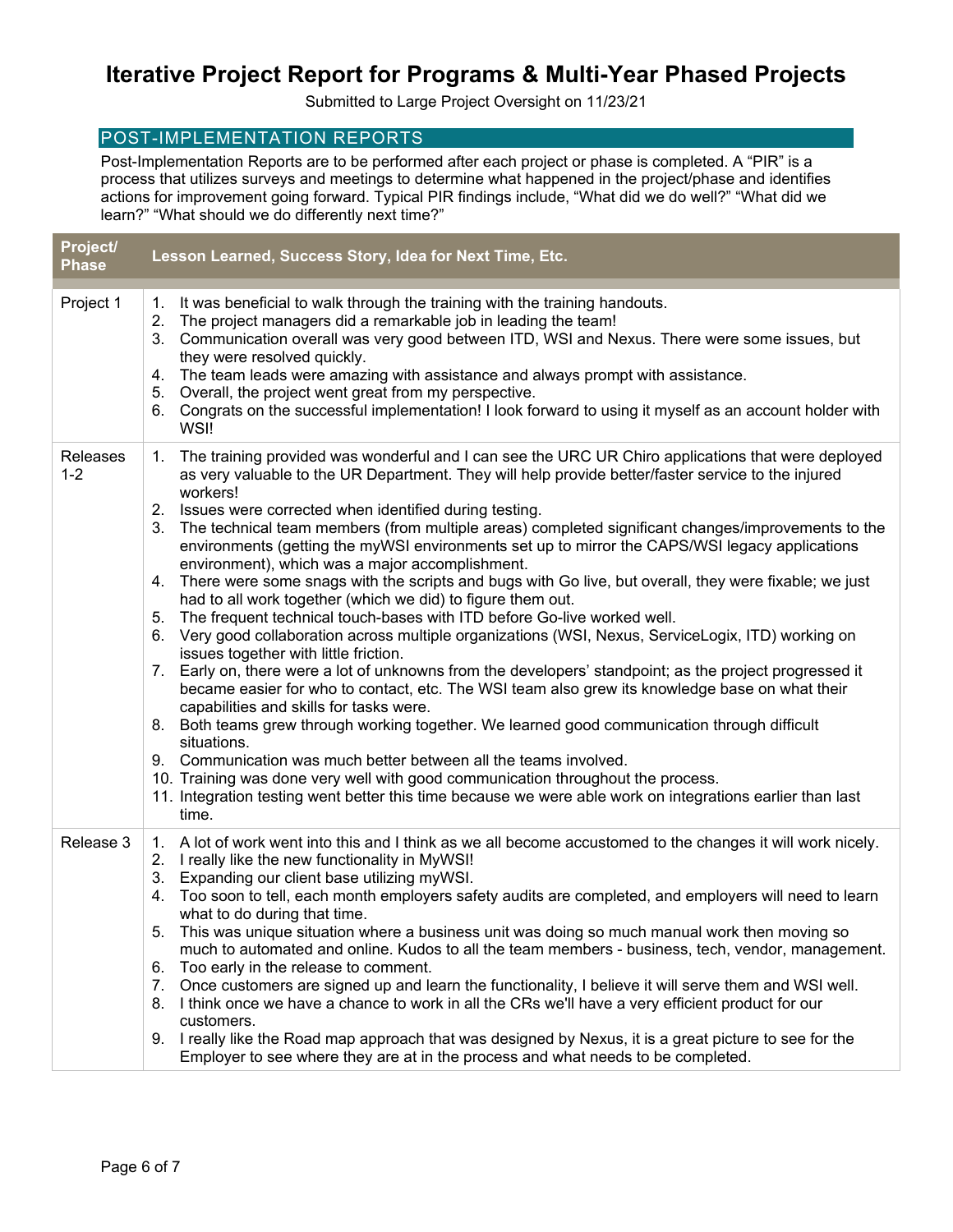Submitted to Large Project Oversight on 11/23/21

## POST-IMPLEMENTATION REPORTS

Post-Implementation Reports are to be performed after each project or phase is completed. A "PIR" is a process that utilizes surveys and meetings to determine what happened in the project/phase and identifies actions for improvement going forward. Typical PIR findings include, "What did we do well?" "What did we learn?" "What should we do differently next time?"

| Project/<br><b>Phase</b> | Lesson Learned, Success Story, Idea for Next Time, Etc.                                                                                                                                                                                                                                                                                                                                                                                                                                                                                                                                                                                                                                                                                                                                                                                                                                                                                                                                                                                                                                                                                                                                                                                                                                                                                                                                                                                                                                                                                                                                                              |  |  |  |  |  |
|--------------------------|----------------------------------------------------------------------------------------------------------------------------------------------------------------------------------------------------------------------------------------------------------------------------------------------------------------------------------------------------------------------------------------------------------------------------------------------------------------------------------------------------------------------------------------------------------------------------------------------------------------------------------------------------------------------------------------------------------------------------------------------------------------------------------------------------------------------------------------------------------------------------------------------------------------------------------------------------------------------------------------------------------------------------------------------------------------------------------------------------------------------------------------------------------------------------------------------------------------------------------------------------------------------------------------------------------------------------------------------------------------------------------------------------------------------------------------------------------------------------------------------------------------------------------------------------------------------------------------------------------------------|--|--|--|--|--|
| Project 1                | 1. It was beneficial to walk through the training with the training handouts.<br>2. The project managers did a remarkable job in leading the team!<br>3. Communication overall was very good between ITD, WSI and Nexus. There were some issues, but<br>they were resolved quickly.<br>4. The team leads were amazing with assistance and always prompt with assistance.<br>5. Overall, the project went great from my perspective.<br>6. Congrats on the successful implementation! I look forward to using it myself as an account holder with<br>WSI!                                                                                                                                                                                                                                                                                                                                                                                                                                                                                                                                                                                                                                                                                                                                                                                                                                                                                                                                                                                                                                                             |  |  |  |  |  |
| Releases<br>$1 - 2$      | The training provided was wonderful and I can see the URC UR Chiro applications that were deployed<br>1.<br>as very valuable to the UR Department. They will help provide better/faster service to the injured<br>workers!<br>2. Issues were corrected when identified during testing.<br>The technical team members (from multiple areas) completed significant changes/improvements to the<br>3.<br>environments (getting the myWSI environments set up to mirror the CAPS/WSI legacy applications<br>environment), which was a major accomplishment.<br>4. There were some snags with the scripts and bugs with Go live, but overall, they were fixable; we just<br>had to all work together (which we did) to figure them out.<br>5. The frequent technical touch-bases with ITD before Go-live worked well.<br>6. Very good collaboration across multiple organizations (WSI, Nexus, ServiceLogix, ITD) working on<br>issues together with little friction.<br>7. Early on, there were a lot of unknowns from the developers' standpoint; as the project progressed it<br>became easier for who to contact, etc. The WSI team also grew its knowledge base on what their<br>capabilities and skills for tasks were.<br>8. Both teams grew through working together. We learned good communication through difficult<br>situations.<br>9. Communication was much better between all the teams involved.<br>10. Training was done very well with good communication throughout the process.<br>11. Integration testing went better this time because we were able work on integrations earlier than last<br>time. |  |  |  |  |  |
| Release 3                | 1. A lot of work went into this and I think as we all become accustomed to the changes it will work nicely.<br>2. I really like the new functionality in MyWSI!<br>3. Expanding our client base utilizing myWSI.<br>4. Too soon to tell, each month employers safety audits are completed, and employers will need to learn<br>what to do during that time.<br>This was unique situation where a business unit was doing so much manual work then moving so<br>5.<br>much to automated and online. Kudos to all the team members - business, tech, vendor, management.<br>6. Too early in the release to comment.<br>Once customers are signed up and learn the functionality, I believe it will serve them and WSI well.<br>7.<br>8. I think once we have a chance to work in all the CRs we'll have a very efficient product for our<br>customers.<br>9. I really like the Road map approach that was designed by Nexus, it is a great picture to see for the<br>Employer to see where they are at in the process and what needs to be completed.                                                                                                                                                                                                                                                                                                                                                                                                                                                                                                                                                                  |  |  |  |  |  |